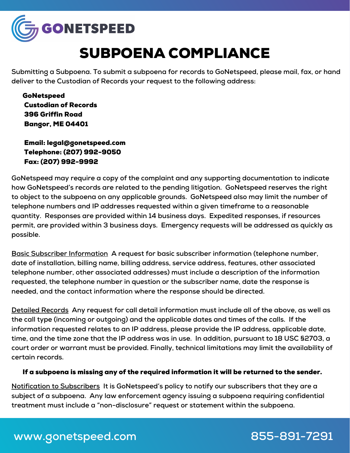

## SUBPOENA COMPLIANCE

**Submitting a Subpoena. To submit a subpoena for records to GoNetspeed, please mail, fax, or hand deliver to the Custodian of Records your request to the following address:**

GoNetspeed Custodian of Records 396 Griffin Road Bangor, ME 04401

Email: legal@gonetspeed.com Telephone: (207) 992-9050 Fax: (207) 992-9992

**GoNetspeed may require a copy of the complaint and any supporting documentation to indicate how GoNetspeed's records are related to the pending litigation. GoNetspeed reserves the right to object to the subpoena on any applicable grounds. GoNetspeed also may limit the number of telephone numbers and IP addresses requested within a given timeframe to a reasonable quantity. Responses are provided within 14 business days. Expedited responses, if resources permit, are provided within 3 business days. Emergency requests will be addressed as quickly as possible.**

**Basic Subscriber Information A request for basic subscriber information (telephone number, date of installation, billing name, billing address, service address, features, other associated telephone number, other associated addresses) must include a description of the information requested, the telephone number in question or the subscriber name, date the response is needed, and the contact information where the response should be directed.**

**Detailed Records Any request for call detail information must include all of the above, as well as the call type (incoming or outgoing) and the applicable dates and times of the calls. If the information requested relates to an IP address, please provide the IP address, applicable date,** time, and the time zone that the IP address was in use. In addition, pursuant to 18 USC §2703, a **court order or warrant must be provided. Finally, technical limitations may limit the availability of certain records.**

## If a subpoena is missing any of the required information it will be returned to the sender.

**Notification to Subscribers It is GoNetspeed's policy to notify our subscribers that they are a subject of a subpoena. Any law enforcement agency issuing a subpoena requiring confidential treatment must include a "non-disclosure" request or statement within the subpoena.**

## **www.gonetspeed.com 855-891-7291**